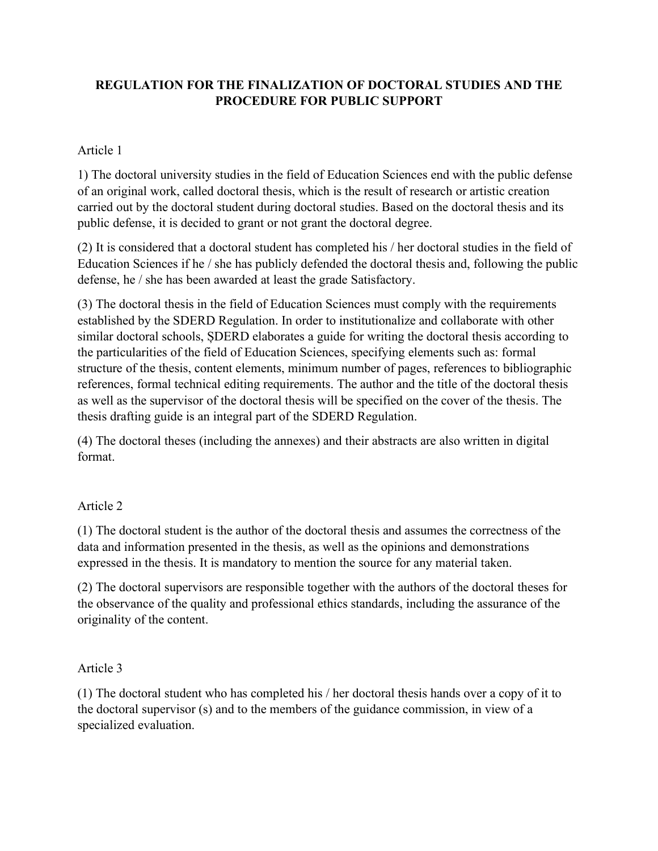## **REGULATION FOR THE FINALIZATION OF DOCTORAL STUDIES AND THE PROCEDURE FOR PUBLIC SUPPORT**

## Article 1

1) The doctoral university studies in the field of Education Sciences end with the public defense of an original work, called doctoral thesis, which is the result of research or artistic creation carried out by the doctoral student during doctoral studies. Based on the doctoral thesis and its public defense, it is decided to grant or not grant the doctoral degree.

(2) It is considered that a doctoral student has completed his / her doctoral studies in the field of Education Sciences if he / she has publicly defended the doctoral thesis and, following the public defense, he / she has been awarded at least the grade Satisfactory.

(3) The doctoral thesis in the field of Education Sciences must comply with the requirements established by the SDERD Regulation. In order to institutionalize and collaborate with other similar doctoral schools, ȘDERD elaborates a guide for writing the doctoral thesis according to the particularities of the field of Education Sciences, specifying elements such as: formal structure of the thesis, content elements, minimum number of pages, references to bibliographic references, formal technical editing requirements. The author and the title of the doctoral thesis as well as the supervisor of the doctoral thesis will be specified on the cover of the thesis. The thesis drafting guide is an integral part of the SDERD Regulation.

(4) The doctoral theses (including the annexes) and their abstracts are also written in digital format.

## Article 2

(1) The doctoral student is the author of the doctoral thesis and assumes the correctness of the data and information presented in the thesis, as well as the opinions and demonstrations expressed in the thesis. It is mandatory to mention the source for any material taken.

(2) The doctoral supervisors are responsible together with the authors of the doctoral theses for the observance of the quality and professional ethics standards, including the assurance of the originality of the content.

## Article 3

(1) The doctoral student who has completed his / her doctoral thesis hands over a copy of it to the doctoral supervisor (s) and to the members of the guidance commission, in view of a specialized evaluation.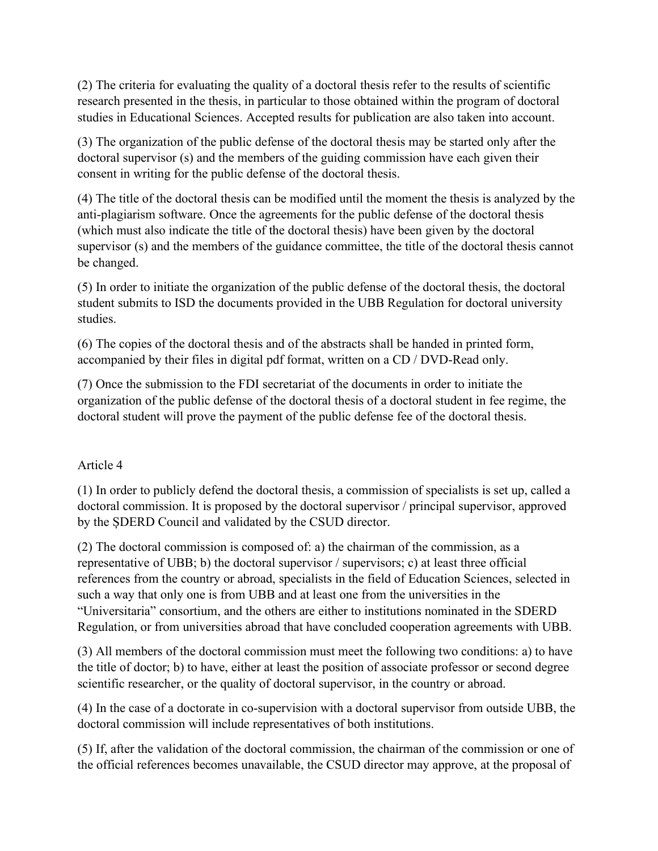(2) The criteria for evaluating the quality of a doctoral thesis refer to the results of scientific research presented in the thesis, in particular to those obtained within the program of doctoral studies in Educational Sciences. Accepted results for publication are also taken into account.

(3) The organization of the public defense of the doctoral thesis may be started only after the doctoral supervisor (s) and the members of the guiding commission have each given their consent in writing for the public defense of the doctoral thesis.

(4) The title of the doctoral thesis can be modified until the moment the thesis is analyzed by the anti-plagiarism software. Once the agreements for the public defense of the doctoral thesis (which must also indicate the title of the doctoral thesis) have been given by the doctoral supervisor (s) and the members of the guidance committee, the title of the doctoral thesis cannot be changed.

(5) In order to initiate the organization of the public defense of the doctoral thesis, the doctoral student submits to ISD the documents provided in the UBB Regulation for doctoral university studies.

(6) The copies of the doctoral thesis and of the abstracts shall be handed in printed form, accompanied by their files in digital pdf format, written on a CD / DVD-Read only.

(7) Once the submission to the FDI secretariat of the documents in order to initiate the organization of the public defense of the doctoral thesis of a doctoral student in fee regime, the doctoral student will prove the payment of the public defense fee of the doctoral thesis.

#### Article 4

(1) In order to publicly defend the doctoral thesis, a commission of specialists is set up, called a doctoral commission. It is proposed by the doctoral supervisor / principal supervisor, approved by the ȘDERD Council and validated by the CSUD director.

(2) The doctoral commission is composed of: a) the chairman of the commission, as a representative of UBB; b) the doctoral supervisor / supervisors; c) at least three official references from the country or abroad, specialists in the field of Education Sciences, selected in such a way that only one is from UBB and at least one from the universities in the "Universitaria" consortium, and the others are either to institutions nominated in the SDERD Regulation, or from universities abroad that have concluded cooperation agreements with UBB.

(3) All members of the doctoral commission must meet the following two conditions: a) to have the title of doctor; b) to have, either at least the position of associate professor or second degree scientific researcher, or the quality of doctoral supervisor, in the country or abroad.

(4) In the case of a doctorate in co-supervision with a doctoral supervisor from outside UBB, the doctoral commission will include representatives of both institutions.

(5) If, after the validation of the doctoral commission, the chairman of the commission or one of the official references becomes unavailable, the CSUD director may approve, at the proposal of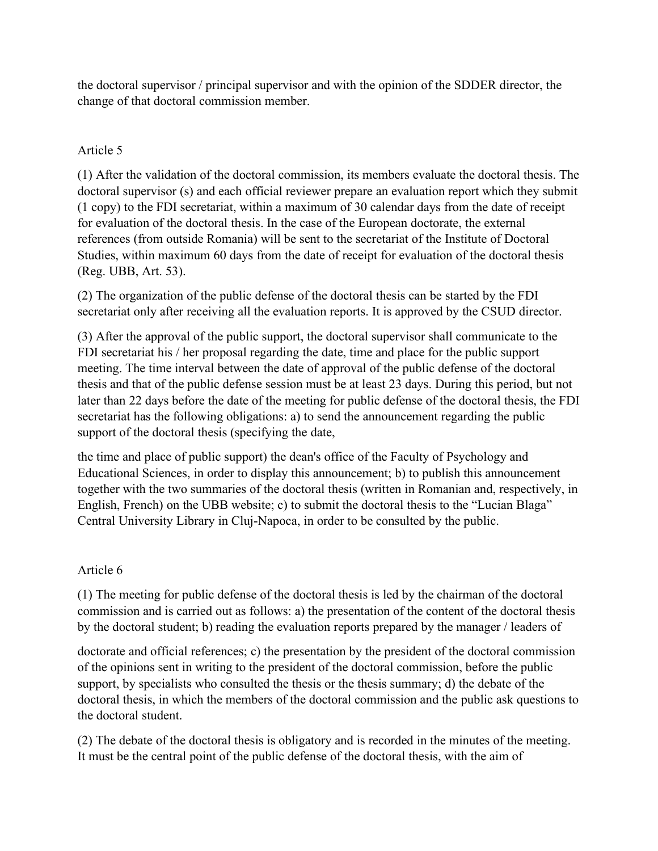the doctoral supervisor / principal supervisor and with the opinion of the SDDER director, the change of that doctoral commission member.

# Article 5

(1) After the validation of the doctoral commission, its members evaluate the doctoral thesis. The doctoral supervisor (s) and each official reviewer prepare an evaluation report which they submit (1 copy) to the FDI secretariat, within a maximum of 30 calendar days from the date of receipt for evaluation of the doctoral thesis. In the case of the European doctorate, the external references (from outside Romania) will be sent to the secretariat of the Institute of Doctoral Studies, within maximum 60 days from the date of receipt for evaluation of the doctoral thesis (Reg. UBB, Art. 53).

(2) The organization of the public defense of the doctoral thesis can be started by the FDI secretariat only after receiving all the evaluation reports. It is approved by the CSUD director.

(3) After the approval of the public support, the doctoral supervisor shall communicate to the FDI secretariat his / her proposal regarding the date, time and place for the public support meeting. The time interval between the date of approval of the public defense of the doctoral thesis and that of the public defense session must be at least 23 days. During this period, but not later than 22 days before the date of the meeting for public defense of the doctoral thesis, the FDI secretariat has the following obligations: a) to send the announcement regarding the public support of the doctoral thesis (specifying the date,

the time and place of public support) the dean's office of the Faculty of Psychology and Educational Sciences, in order to display this announcement; b) to publish this announcement together with the two summaries of the doctoral thesis (written in Romanian and, respectively, in English, French) on the UBB website; c) to submit the doctoral thesis to the "Lucian Blaga" Central University Library in Cluj-Napoca, in order to be consulted by the public.

## Article 6

(1) The meeting for public defense of the doctoral thesis is led by the chairman of the doctoral commission and is carried out as follows: a) the presentation of the content of the doctoral thesis by the doctoral student; b) reading the evaluation reports prepared by the manager / leaders of

doctorate and official references; c) the presentation by the president of the doctoral commission of the opinions sent in writing to the president of the doctoral commission, before the public support, by specialists who consulted the thesis or the thesis summary; d) the debate of the doctoral thesis, in which the members of the doctoral commission and the public ask questions to the doctoral student.

(2) The debate of the doctoral thesis is obligatory and is recorded in the minutes of the meeting. It must be the central point of the public defense of the doctoral thesis, with the aim of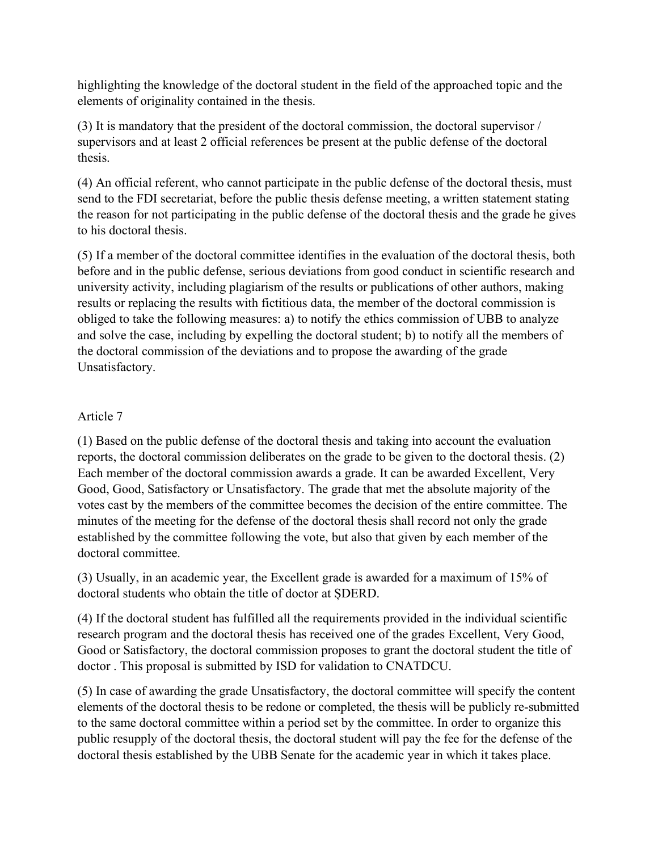highlighting the knowledge of the doctoral student in the field of the approached topic and the elements of originality contained in the thesis.

(3) It is mandatory that the president of the doctoral commission, the doctoral supervisor / supervisors and at least 2 official references be present at the public defense of the doctoral thesis.

(4) An official referent, who cannot participate in the public defense of the doctoral thesis, must send to the FDI secretariat, before the public thesis defense meeting, a written statement stating the reason for not participating in the public defense of the doctoral thesis and the grade he gives to his doctoral thesis.

(5) If a member of the doctoral committee identifies in the evaluation of the doctoral thesis, both before and in the public defense, serious deviations from good conduct in scientific research and university activity, including plagiarism of the results or publications of other authors, making results or replacing the results with fictitious data, the member of the doctoral commission is obliged to take the following measures: a) to notify the ethics commission of UBB to analyze and solve the case, including by expelling the doctoral student; b) to notify all the members of the doctoral commission of the deviations and to propose the awarding of the grade Unsatisfactory.

## Article 7

(1) Based on the public defense of the doctoral thesis and taking into account the evaluation reports, the doctoral commission deliberates on the grade to be given to the doctoral thesis. (2) Each member of the doctoral commission awards a grade. It can be awarded Excellent, Very Good, Good, Satisfactory or Unsatisfactory. The grade that met the absolute majority of the votes cast by the members of the committee becomes the decision of the entire committee. The minutes of the meeting for the defense of the doctoral thesis shall record not only the grade established by the committee following the vote, but also that given by each member of the doctoral committee.

(3) Usually, in an academic year, the Excellent grade is awarded for a maximum of 15% of doctoral students who obtain the title of doctor at ȘDERD.

(4) If the doctoral student has fulfilled all the requirements provided in the individual scientific research program and the doctoral thesis has received one of the grades Excellent, Very Good, Good or Satisfactory, the doctoral commission proposes to grant the doctoral student the title of doctor . This proposal is submitted by ISD for validation to CNATDCU.

(5) In case of awarding the grade Unsatisfactory, the doctoral committee will specify the content elements of the doctoral thesis to be redone or completed, the thesis will be publicly re-submitted to the same doctoral committee within a period set by the committee. In order to organize this public resupply of the doctoral thesis, the doctoral student will pay the fee for the defense of the doctoral thesis established by the UBB Senate for the academic year in which it takes place.